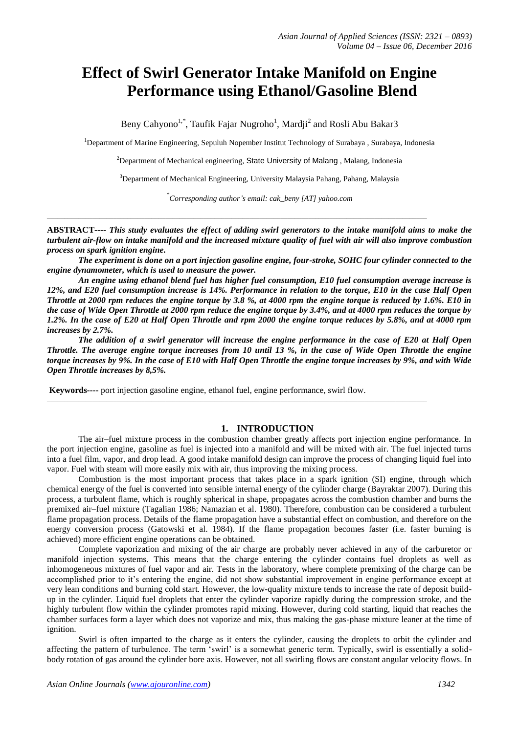# **Effect of Swirl Generator Intake Manifold on Engine Performance using Ethanol/Gasoline Blend**

Beny Cahyono<sup>1,\*</sup>, Taufik Fajar Nugroho<sup>1</sup>, Mardji<sup>2</sup> and Rosli Abu Bakar3

<sup>1</sup>Department of Marine Engineering, Sepuluh Nopember Institut Technology of Surabaya, Surabaya, Indonesia

<sup>2</sup>Department of Mechanical engineering, [State University of Malang](http://www.google.com.pk/url?q=http://www.its.ws/&sa=U&ei=WjXqTIG0AYrFswbqoPm1Cw&ved=0CA4QFjAA&usg=AFQjCNElQpPJM48JoVtrI0vAAPbpu9yHNQ), Malang, Indonesia

<sup>3</sup>Department of Mechanical Engineering, University Malaysia Pahang, Pahang, Malaysia

*\* Corresponding author's email: cak\_beny [AT] yahoo.com*

**ABSTRACT----** *This study evaluates the effect of adding swirl generators to the intake manifold aims to make the turbulent air-flow on intake manifold and the increased mixture quality of fuel with air will also improve combustion process on spark ignition engine.* 

 $\_$  , and the set of the set of the set of the set of the set of the set of the set of the set of the set of the set of the set of the set of the set of the set of the set of the set of the set of the set of the set of th

*The experiment is done on a port injection gasoline engine, four-stroke, SOHC four cylinder connected to the engine dynamometer, which is used to measure the power.*

*An engine using ethanol blend fuel has higher fuel consumption, E10 fuel consumption average increase is 12%, and E20 fuel consumption increase is 14%. Performance in relation to the torque, E10 in the case Half Open Throttle at 2000 rpm reduces the engine torque by 3.8 %, at 4000 rpm the engine torque is reduced by 1.6%. E10 in the case of Wide Open Throttle at 2000 rpm reduce the engine torque by 3.4%, and at 4000 rpm reduces the torque by 1.2%. In the case of E20 at Half Open Throttle and rpm 2000 the engine torque reduces by 5.8%, and at 4000 rpm increases by 2.7%.* 

*The addition of a swirl generator will increase the engine performance in the case of E20 at Half Open Throttle. The average engine torque increases from 10 until 13 %, in the case of Wide Open Throttle the engine torque increases by 9%. In the case of E10 with Half Open Throttle the engine torque increases by 9%, and with Wide Open Throttle increases by 8,5%.* 

 $\_$  ,  $\_$  ,  $\_$  ,  $\_$  ,  $\_$  ,  $\_$  ,  $\_$  ,  $\_$  ,  $\_$  ,  $\_$  ,  $\_$  ,  $\_$  ,  $\_$  ,  $\_$  ,  $\_$  ,  $\_$  ,  $\_$  ,  $\_$  ,  $\_$  ,  $\_$  ,  $\_$  ,  $\_$  ,  $\_$  ,  $\_$  ,  $\_$  ,  $\_$  ,  $\_$  ,  $\_$  ,  $\_$  ,  $\_$  ,  $\_$  ,  $\_$  ,  $\_$  ,  $\_$  ,  $\_$  ,  $\_$  ,  $\_$  ,

**Keywords----** port injection gasoline engine, ethanol fuel, engine performance, swirl flow.

#### **1. INTRODUCTION**

The air–fuel mixture process in the combustion chamber greatly affects port injection engine performance. In the port injection engine, gasoline as fuel is injected into a manifold and will be mixed with air. The fuel injected turns into a fuel film, vapor, and drop lead. A good intake manifold design can improve the process of changing liquid fuel into vapor. Fuel with steam will more easily mix with air, thus improving the mixing process.

Combustion is the most important process that takes place in a spark ignition (SI) engine, through which chemical energy of the fuel is converted into sensible internal energy of the cylinder charge (Bayraktar 2007). During this process, a turbulent flame, which is roughly spherical in shape, propagates across the combustion chamber and burns the premixed air–fuel mixture (Tagalian 1986; Namazian et al. 1980). Therefore, combustion can be considered a turbulent flame propagation process. Details of the flame propagation have a substantial effect on combustion, and therefore on the energy conversion process (Gatowski et al. 1984). If the flame propagation becomes faster (i.e. faster burning is achieved) more efficient engine operations can be obtained.

Complete vaporization and mixing of the air charge are probably never achieved in any of the carburetor or manifold injection systems. This means that the charge entering the cylinder contains fuel droplets as well as inhomogeneous mixtures of fuel vapor and air. Tests in the laboratory, where complete premixing of the charge can be accomplished prior to it's entering the engine, did not show substantial improvement in engine performance except at very lean conditions and burning cold start. However, the low-quality mixture tends to increase the rate of deposit buildup in the cylinder. Liquid fuel droplets that enter the cylinder vaporize rapidly during the compression stroke, and the highly turbulent flow within the cylinder promotes rapid mixing. However, during cold starting, liquid that reaches the chamber surfaces form a layer which does not vaporize and mix, thus making the gas-phase mixture leaner at the time of ignition.

Swirl is often imparted to the charge as it enters the cylinder, causing the droplets to orbit the cylinder and affecting the pattern of turbulence. The term 'swirl' is a somewhat generic term. Typically, swirl is essentially a solidbody rotation of gas around the cylinder bore axis. However, not all swirling flows are constant angular velocity flows. In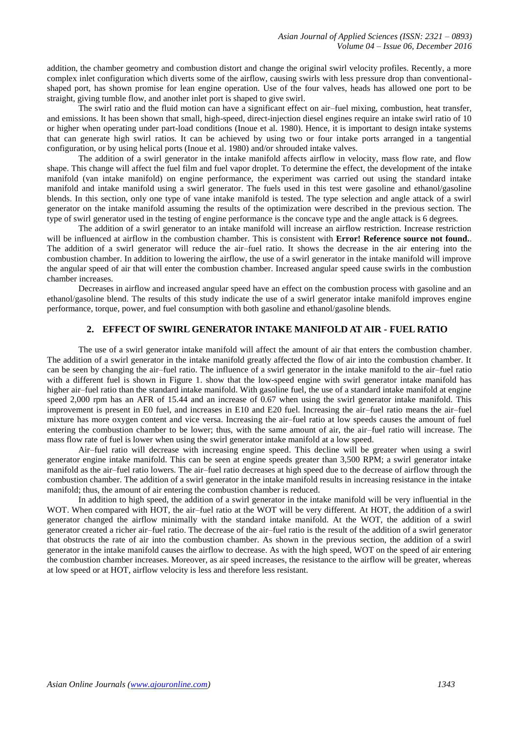addition, the chamber geometry and combustion distort and change the original swirl velocity profiles. Recently, a more complex inlet configuration which diverts some of the airflow, causing swirls with less pressure drop than conventionalshaped port, has shown promise for lean engine operation. Use of the four valves, heads has allowed one port to be straight, giving tumble flow, and another inlet port is shaped to give swirl.

The swirl ratio and the fluid motion can have a significant effect on air–fuel mixing, combustion, heat transfer, and emissions. It has been shown that small, high-speed, direct-injection diesel engines require an intake swirl ratio of 10 or higher when operating under part-load conditions (Inoue et al. 1980). Hence, it is important to design intake systems that can generate high swirl ratios. It can be achieved by using two or four intake ports arranged in a tangential configuration, or by using helical ports (Inoue et al. 1980) and/or shrouded intake valves.

The addition of a swirl generator in the intake manifold affects airflow in velocity, mass flow rate, and flow shape. This change will affect the fuel film and fuel vapor droplet. To determine the effect, the development of the intake manifold (van intake manifold) on engine performance, the experiment was carried out using the standard intake manifold and intake manifold using a swirl generator. The fuels used in this test were gasoline and ethanol/gasoline blends. In this section, only one type of vane intake manifold is tested. The type selection and angle attack of a swirl generator on the intake manifold assuming the results of the optimization were described in the previous section. The type of swirl generator used in the testing of engine performance is the concave type and the angle attack is 6 degrees.

The addition of a swirl generator to an intake manifold will increase an airflow restriction. Increase restriction will be influenced at airflow in the combustion chamber. This is consistent with **Error! Reference source not found.**. The addition of a swirl generator will reduce the air–fuel ratio. It shows the decrease in the air entering into the combustion chamber. In addition to lowering the airflow, the use of a swirl generator in the intake manifold will improve the angular speed of air that will enter the combustion chamber. Increased angular speed cause swirls in the combustion chamber increases.

Decreases in airflow and increased angular speed have an effect on the combustion process with gasoline and an ethanol/gasoline blend. The results of this study indicate the use of a swirl generator intake manifold improves engine performance, torque, power, and fuel consumption with both gasoline and ethanol/gasoline blends.

## **2. EFFECT OF SWIRL GENERATOR INTAKE MANIFOLD AT AIR - FUEL RATIO**

The use of a swirl generator intake manifold will affect the amount of air that enters the combustion chamber. The addition of a swirl generator in the intake manifold greatly affected the flow of air into the combustion chamber. It can be seen by changing the air–fuel ratio. The influence of a swirl generator in the intake manifold to the air–fuel ratio with a different fuel is shown in Figure 1. show that the low-speed engine with swirl generator intake manifold has higher air–fuel ratio than the standard intake manifold. With gasoline fuel, the use of a standard intake manifold at engine speed 2,000 rpm has an AFR of 15.44 and an increase of 0.67 when using the swirl generator intake manifold. This improvement is present in E0 fuel, and increases in E10 and E20 fuel. Increasing the air–fuel ratio means the air–fuel mixture has more oxygen content and vice versa. Increasing the air–fuel ratio at low speeds causes the amount of fuel entering the combustion chamber to be lower; thus, with the same amount of air, the air–fuel ratio will increase. The mass flow rate of fuel is lower when using the swirl generator intake manifold at a low speed.

Air–fuel ratio will decrease with increasing engine speed. This decline will be greater when using a swirl generator engine intake manifold. This can be seen at engine speeds greater than 3,500 RPM; a swirl generator intake manifold as the air–fuel ratio lowers. The air–fuel ratio decreases at high speed due to the decrease of airflow through the combustion chamber. The addition of a swirl generator in the intake manifold results in increasing resistance in the intake manifold; thus, the amount of air entering the combustion chamber is reduced.

In addition to high speed, the addition of a swirl generator in the intake manifold will be very influential in the WOT. When compared with HOT, the air–fuel ratio at the WOT will be very different. At HOT, the addition of a swirl generator changed the airflow minimally with the standard intake manifold. At the WOT, the addition of a swirl generator created a richer air–fuel ratio. The decrease of the air–fuel ratio is the result of the addition of a swirl generator that obstructs the rate of air into the combustion chamber. As shown in the previous section, the addition of a swirl generator in the intake manifold causes the airflow to decrease. As with the high speed, WOT on the speed of air entering the combustion chamber increases. Moreover, as air speed increases, the resistance to the airflow will be greater, whereas at low speed or at HOT, airflow velocity is less and therefore less resistant.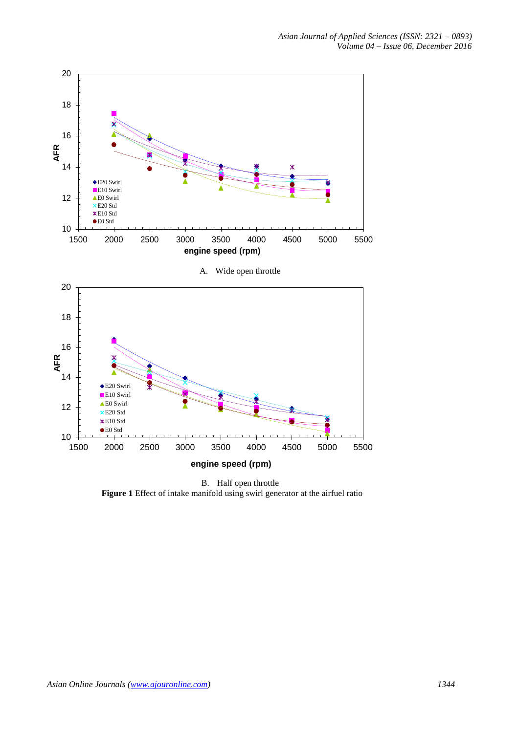

B. Half open throttle **Figure 1** Effect of intake manifold using swirl generator at the airfuel ratio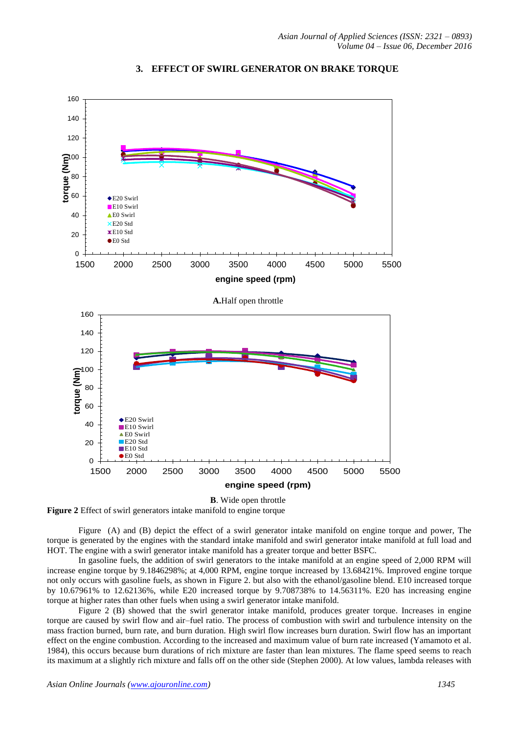

#### **3. EFFECT OF SWIRL GENERATOR ON BRAKE TORQUE**

<span id="page-3-0"></span>**Figure 2** Effect of swirl generators intake manifold to engine torque

[Figure](#page-3-0) (A) and (B) depict the effect of a swirl generator intake manifold on engine torque and power, The torque is generated by the engines with the standard intake manifold and swirl generator intake manifold at full load and HOT. The engine with a swirl generator intake manifold has a greater torque and better BSFC.

In gasoline fuels, the addition of swirl generators to the intake manifold at an engine speed of 2,000 RPM will increase engine torque by 9.1846298%; at 4,000 RPM, engine torque increased by 13.68421%. Improved engine torque not only occurs with gasoline fuels, as shown in [Figure 2](#page-3-0). but also with the ethanol/gasoline blend. E10 increased torque by 10.67961% to 12.62136%, while E20 increased torque by 9.708738% to 14.56311%. E20 has increasing engine torque at higher rates than other fuels when using a swirl generator intake manifold.

[Figure 2](#page-3-0) (B) showed that the swirl generator intake manifold, produces greater torque. Increases in engine torque are caused by swirl flow and air–fuel ratio. The process of combustion with swirl and turbulence intensity on the mass fraction burned, burn rate, and burn duration. High swirl flow increases burn duration. Swirl flow has an important effect on the engine combustion. According to the increased and maximum value of burn rate increased (Yamamoto et al. 1984), this occurs because burn durations of rich mixture are faster than lean mixtures. The flame speed seems to reach its maximum at a slightly rich mixture and falls off on the other side (Stephen 2000). At low values, lambda releases with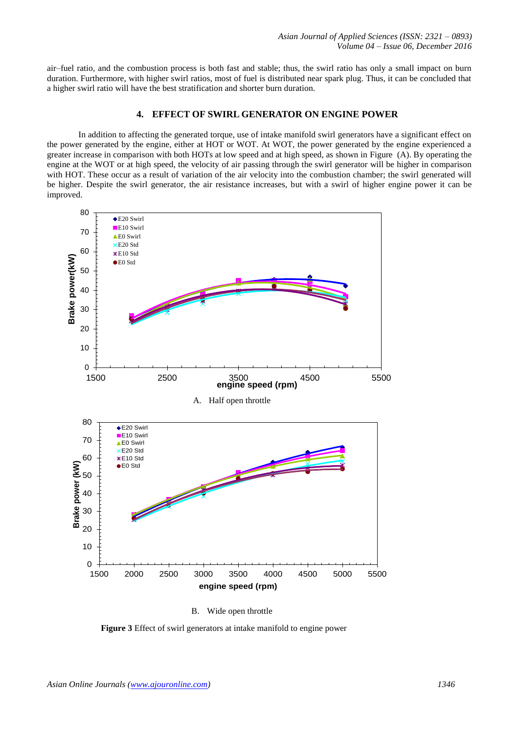air–fuel ratio, and the combustion process is both fast and stable; thus, the swirl ratio has only a small impact on burn duration. Furthermore, with higher swirl ratios, most of fuel is distributed near spark plug. Thus, it can be concluded that a higher swirl ratio will have the best stratification and shorter burn duration.

## **4. EFFECT OF SWIRL GENERATOR ON ENGINE POWER**

In addition to affecting the generated torque, use of intake manifold swirl generators have a significant effect on the power generated by the engine, either at HOT or WOT. At WOT, the power generated by the engine experienced a greater increase in comparison with both HOTs at low speed and at high speed, as shown in [Figure](#page-4-0) (A). By operating the engine at the WOT or at high speed, the velocity of air passing through the swirl generator will be higher in comparison with HOT. These occur as a result of variation of the air velocity into the combustion chamber; the swirl generated will be higher. Despite the swirl generator, the air resistance increases, but with a swirl of higher engine power it can be improved.



B. Wide open throttle

<span id="page-4-0"></span>**Figure 3** Effect of swirl generators at intake manifold to engine power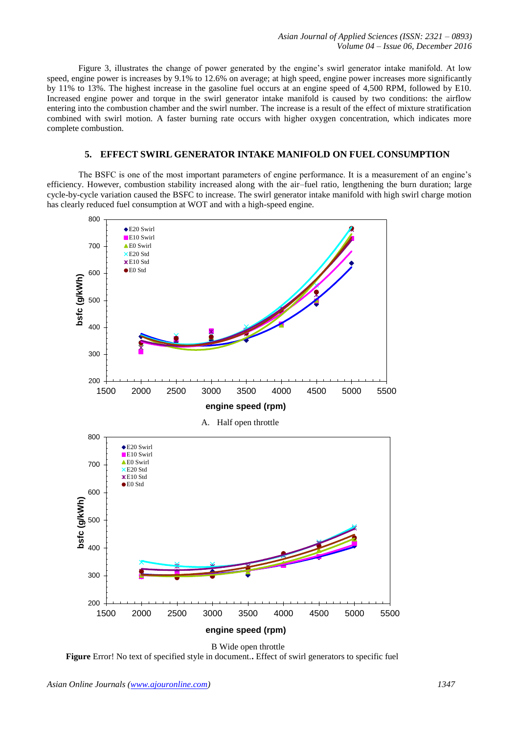[Figure 3](#page-4-0), illustrates the change of power generated by the engine's swirl generator intake manifold. At low speed, engine power is increases by 9.1% to 12.6% on average; at high speed, engine power increases more significantly by 11% to 13%. The highest increase in the gasoline fuel occurs at an engine speed of 4,500 RPM, followed by E10. Increased engine power and torque in the swirl generator intake manifold is caused by two conditions: the airflow entering into the combustion chamber and the swirl number. The increase is a result of the effect of mixture stratification combined with swirl motion. A faster burning rate occurs with higher oxygen concentration, which indicates more complete combustion.

#### **5. EFFECT SWIRL GENERATOR INTAKE MANIFOLD ON FUEL CONSUMPTION**

The BSFC is one of the most important parameters of engine performance. It is a measurement of an engine's efficiency. However, combustion stability increased along with the air–fuel ratio, lengthening the burn duration; large cycle-by-cycle variation caused the BSFC to increase. The swirl generator intake manifold with high swirl charge motion has clearly reduced fuel consumption at WOT and with a high-speed engine.



<span id="page-5-0"></span>**Figure** Error! No text of specified style in document.**.** Effect of swirl generators to specific fuel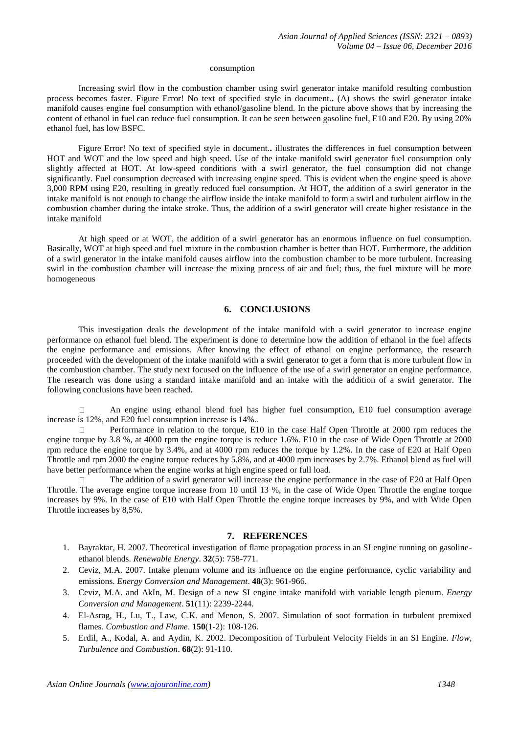#### consumption

Increasing swirl flow in the combustion chamber using swirl generator intake manifold resulting combustion process becomes faster. [Figure Error! No text of specified style in document.](#page-5-0)**.** (A) shows the swirl generator intake manifold causes engine fuel consumption with ethanol/gasoline blend. In the picture above shows that by increasing the content of ethanol in fuel can reduce fuel consumption. It can be seen between gasoline fuel, E10 and E20. By using 20% ethanol fuel, has low BSFC.

[Figure Error! No text of specified style in document.](#page-5-0)**.** illustrates the differences in fuel consumption between HOT and WOT and the low speed and high speed. Use of the intake manifold swirl generator fuel consumption only slightly affected at HOT. At low-speed conditions with a swirl generator, the fuel consumption did not change significantly. Fuel consumption decreased with increasing engine speed. This is evident when the engine speed is above 3,000 RPM using E20, resulting in greatly reduced fuel consumption. At HOT, the addition of a swirl generator in the intake manifold is not enough to change the airflow inside the intake manifold to form a swirl and turbulent airflow in the combustion chamber during the intake stroke. Thus, the addition of a swirl generator will create higher resistance in the intake manifold

At high speed or at WOT, the addition of a swirl generator has an enormous influence on fuel consumption. Basically, WOT at high speed and fuel mixture in the combustion chamber is better than HOT. Furthermore, the addition of a swirl generator in the intake manifold causes airflow into the combustion chamber to be more turbulent. Increasing swirl in the combustion chamber will increase the mixing process of air and fuel; thus, the fuel mixture will be more homogeneous

## **6. CONCLUSIONS**

This investigation deals the development of the intake manifold with a swirl generator to increase engine performance on ethanol fuel blend. The experiment is done to determine how the addition of ethanol in the fuel affects the engine performance and emissions. After knowing the effect of ethanol on engine performance, the research proceeded with the development of the intake manifold with a swirl generator to get a form that is more turbulent flow in the combustion chamber. The study next focused on the influence of the use of a swirl generator on engine performance. The research was done using a standard intake manifold and an intake with the addition of a swirl generator. The following conclusions have been reached.

An engine using ethanol blend fuel has higher fuel consumption, E10 fuel consumption average increase is 12%, and E20 fuel consumption increase is 14%..

Performance in relation to the torque, E10 in the case Half Open Throttle at 2000 rpm reduces the  $\Box$ engine torque by 3.8 %, at 4000 rpm the engine torque is reduce 1.6%. E10 in the case of Wide Open Throttle at 2000 rpm reduce the engine torque by 3.4%, and at 4000 rpm reduces the torque by 1.2%. In the case of E20 at Half Open Throttle and rpm 2000 the engine torque reduces by 5.8%, and at 4000 rpm increases by 2.7%. Ethanol blend as fuel will have better performance when the engine works at high engine speed or full load.

 $\Box$ The addition of a swirl generator will increase the engine performance in the case of E20 at Half Open Throttle. The average engine torque increase from 10 until 13 %, in the case of Wide Open Throttle the engine torque increases by 9%. In the case of E10 with Half Open Throttle the engine torque increases by 9%, and with Wide Open Throttle increases by 8,5%.

#### **7. REFERENCES**

- 1. Bayraktar, H. 2007. Theoretical investigation of flame propagation process in an SI engine running on gasolineethanol blends. *Renewable Energy*. **32**(5): 758-771.
- 2. Ceviz, M.A. 2007. Intake plenum volume and its influence on the engine performance, cyclic variability and emissions. *Energy Conversion and Management*. **48**(3): 961-966.
- 3. Ceviz, M.A. and AkIn, M. Design of a new SI engine intake manifold with variable length plenum. *Energy Conversion and Management*. **51**(11): 2239-2244.
- 4. El-Asrag, H., Lu, T., Law, C.K. and Menon, S. 2007. Simulation of soot formation in turbulent premixed flames. *Combustion and Flame*. **150**(1-2): 108-126.
- 5. Erdil, A., Kodal, A. and Aydin, K. 2002. Decomposition of Turbulent Velocity Fields in an SI Engine. *Flow, Turbulence and Combustion*. **68**(2): 91-110.